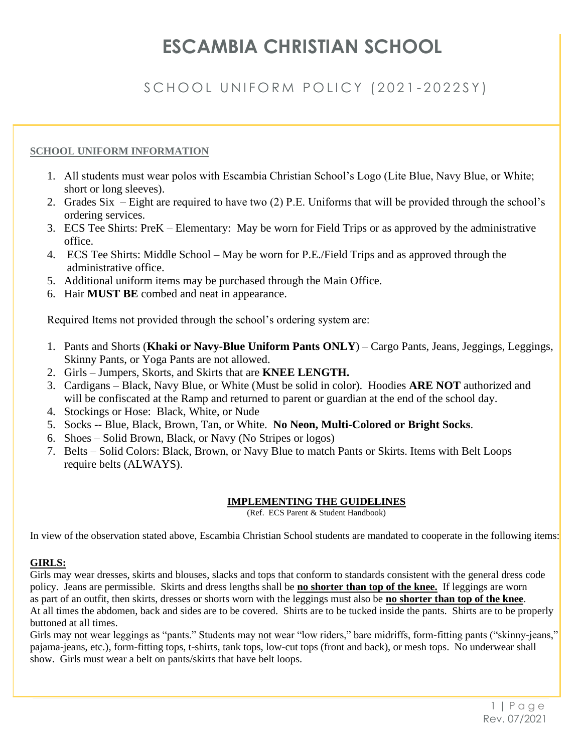# **ESCAMBIA CHRISTIAN SCHOOL**

# SCHOOL UNIFORM POLICY (2021-2022SY)

## **SCHOOL UNIFORM INFORMATION**

- 1. All students must wear polos with Escambia Christian School's Logo (Lite Blue, Navy Blue, or White; short or long sleeves).
- 2. Grades Six Eight are required to have two (2) P.E. Uniforms that will be provided through the school's ordering services.
- 3. ECS Tee Shirts: PreK Elementary: May be worn for Field Trips or as approved by the administrative office.
- 4. ECS Tee Shirts: Middle School May be worn for P.E./Field Trips and as approved through the administrative office.
- 5. Additional uniform items may be purchased through the Main Office.
- 6. Hair **MUST BE** combed and neat in appearance.

Required Items not provided through the school's ordering system are:

- 1. Pants and Shorts (**Khaki or Navy-Blue Uniform Pants ONLY**) Cargo Pants, Jeans, Jeggings, Leggings, Skinny Pants, or Yoga Pants are not allowed.
- 2. Girls Jumpers, Skorts, and Skirts that are **KNEE LENGTH.**
- 3. Cardigans Black, Navy Blue, or White (Must be solid in color). Hoodies **ARE NOT** authorized and will be confiscated at the Ramp and returned to parent or guardian at the end of the school day.
- 4. Stockings or Hose: Black, White, or Nude
- 5. Socks -- Blue, Black, Brown, Tan, or White. **No Neon, Multi-Colored or Bright Socks**.
- 6. Shoes Solid Brown, Black, or Navy (No Stripes or logos)
- 7. Belts Solid Colors: Black, Brown, or Navy Blue to match Pants or Skirts. Items with Belt Loops require belts (ALWAYS).

### **IMPLEMENTING THE GUIDELINES**

(Ref. ECS Parent & Student Handbook)

In view of the observation stated above, Escambia Christian School students are mandated to cooperate in the following items:

# **GIRLS:**

Girls may wear dresses, skirts and blouses, slacks and tops that conform to standards consistent with the general dress code policy. Jeans are permissible. Skirts and dress lengths shall be **no shorter than top of the knee.** If leggings are worn as part of an outfit, then skirts, dresses or shorts worn with the leggings must also be **no shorter than top of the knee**. At all times the abdomen, back and sides are to be covered. Shirts are to be tucked inside the pants. Shirts are to be properly buttoned at all times.

Girls may not wear leggings as "pants." Students may not wear "low riders," bare midriffs, form-fitting pants ("skinny-jeans," pajama-jeans, etc.), form-fitting tops, t-shirts, tank tops, low-cut tops (front and back), or mesh tops. No underwear shall show. Girls must wear a belt on pants/skirts that have belt loops.